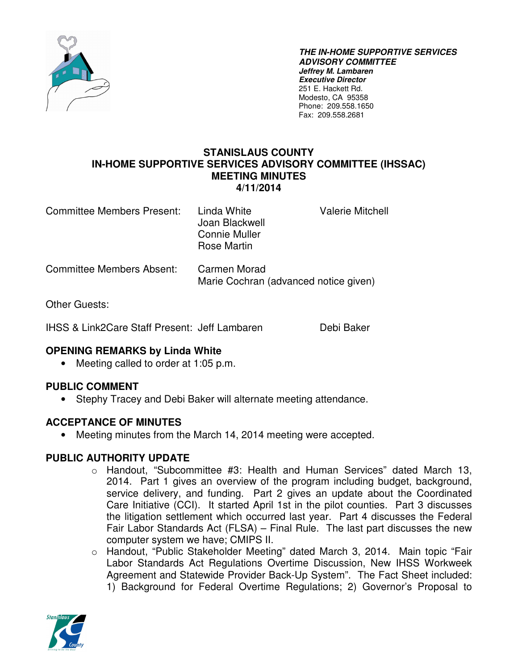

**THE IN-HOME SUPPORTIVE SERVICES ADVISORY COMMITTEE Jeffrey M. Lambaren Executive Director**  251 E. Hackett Rd. Modesto, CA 95358 Phone: 209.558.1650 Fax: 209.558.2681

#### **STANISLAUS COUNTY IN-HOME SUPPORTIVE SERVICES ADVISORY COMMITTEE (IHSSAC) MEETING MINUTES 4/11/2014**

Committee Members Present: Linda White Valerie Mitchell Joan Blackwell Connie Muller Rose Martin Committee Members Absent: Carmen Morad Marie Cochran (advanced notice given)

Other Guests:

IHSS & Link2Care Staff Present: Jeff Lambaren Debi Baker

## **OPENING REMARKS by Linda White**

• Meeting called to order at 1:05 p.m.

## **PUBLIC COMMENT**

• Stephy Tracey and Debi Baker will alternate meeting attendance.

## **ACCEPTANCE OF MINUTES**

• Meeting minutes from the March 14, 2014 meeting were accepted.

#### **PUBLIC AUTHORITY UPDATE**

- o Handout, "Subcommittee #3: Health and Human Services" dated March 13, 2014. Part 1 gives an overview of the program including budget, background, service delivery, and funding. Part 2 gives an update about the Coordinated Care Initiative (CCI). It started April 1st in the pilot counties. Part 3 discusses the litigation settlement which occurred last year. Part 4 discusses the Federal Fair Labor Standards Act (FLSA) – Final Rule. The last part discusses the new computer system we have; CMIPS II.
- o Handout, "Public Stakeholder Meeting" dated March 3, 2014. Main topic "Fair Labor Standards Act Regulations Overtime Discussion, New IHSS Workweek Agreement and Statewide Provider Back-Up System". The Fact Sheet included: 1) Background for Federal Overtime Regulations; 2) Governor's Proposal to

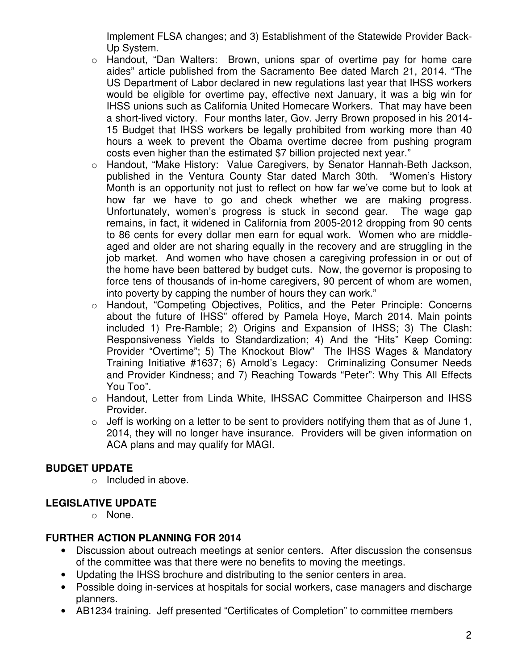Implement FLSA changes; and 3) Establishment of the Statewide Provider Back-Up System.

- o Handout, "Dan Walters: Brown, unions spar of overtime pay for home care aides" article published from the Sacramento Bee dated March 21, 2014. "The US Department of Labor declared in new regulations last year that IHSS workers would be eligible for overtime pay, effective next January, it was a big win for IHSS unions such as California United Homecare Workers. That may have been a short-lived victory. Four months later, Gov. Jerry Brown proposed in his 2014- 15 Budget that IHSS workers be legally prohibited from working more than 40 hours a week to prevent the Obama overtime decree from pushing program costs even higher than the estimated \$7 billion projected next year."
- o Handout, "Make History: Value Caregivers, by Senator Hannah-Beth Jackson, published in the Ventura County Star dated March 30th. "Women's History Month is an opportunity not just to reflect on how far we've come but to look at how far we have to go and check whether we are making progress. Unfortunately, women's progress is stuck in second gear. The wage gap remains, in fact, it widened in California from 2005-2012 dropping from 90 cents to 86 cents for every dollar men earn for equal work. Women who are middleaged and older are not sharing equally in the recovery and are struggling in the job market. And women who have chosen a caregiving profession in or out of the home have been battered by budget cuts. Now, the governor is proposing to force tens of thousands of in-home caregivers, 90 percent of whom are women, into poverty by capping the number of hours they can work."
- o Handout, "Competing Objectives, Politics, and the Peter Principle: Concerns about the future of IHSS" offered by Pamela Hoye, March 2014. Main points included 1) Pre-Ramble; 2) Origins and Expansion of IHSS; 3) The Clash: Responsiveness Yields to Standardization; 4) And the "Hits" Keep Coming: Provider "Overtime"; 5) The Knockout Blow" The IHSS Wages & Mandatory Training Initiative #1637; 6) Arnold's Legacy: Criminalizing Consumer Needs and Provider Kindness; and 7) Reaching Towards "Peter": Why This All Effects You Too".
- o Handout, Letter from Linda White, IHSSAC Committee Chairperson and IHSS Provider.
- $\circ$  Jeff is working on a letter to be sent to providers notifying them that as of June 1, 2014, they will no longer have insurance. Providers will be given information on ACA plans and may qualify for MAGI.

#### **BUDGET UPDATE**

o Included in above.

# **LEGISLATIVE UPDATE**

o None.

## **FURTHER ACTION PLANNING FOR 2014**

- Discussion about outreach meetings at senior centers. After discussion the consensus of the committee was that there were no benefits to moving the meetings.
- Updating the IHSS brochure and distributing to the senior centers in area.
- Possible doing in-services at hospitals for social workers, case managers and discharge planners.
- AB1234 training. Jeff presented "Certificates of Completion" to committee members